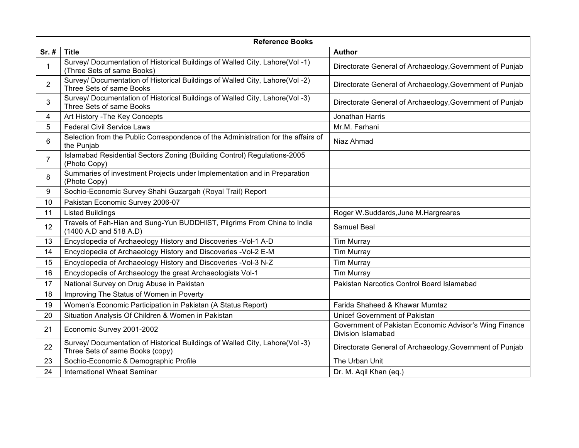|                       | <b>Reference Books</b>                                                                                          |                                                                                     |  |
|-----------------------|-----------------------------------------------------------------------------------------------------------------|-------------------------------------------------------------------------------------|--|
| Sr. #                 | <b>Title</b>                                                                                                    | <b>Author</b>                                                                       |  |
| 1                     | Survey/ Documentation of Historical Buildings of Walled City, Lahore(Vol -1)<br>(Three Sets of same Books)      | Directorate General of Archaeology, Government of Punjab                            |  |
| $\mathbf{2}^{\prime}$ | Survey/ Documentation of Historical Buildings of Walled City, Lahore(Vol -2)<br>Three Sets of same Books        | Directorate General of Archaeology, Government of Punjab                            |  |
| 3                     | Survey/ Documentation of Historical Buildings of Walled City, Lahore(Vol -3)<br>Three Sets of same Books        | Directorate General of Archaeology, Government of Punjab                            |  |
| 4                     | Art History - The Key Concepts                                                                                  | Jonathan Harris                                                                     |  |
| 5                     | <b>Federal Civil Service Laws</b>                                                                               | Mr.M. Farhani                                                                       |  |
| 6                     | Selection from the Public Correspondence of the Administration for the affairs of<br>the Punjab                 | Niaz Ahmad                                                                          |  |
| $\overline{7}$        | Islamabad Residential Sectors Zoning (Building Control) Regulations-2005<br>(Photo Copy)                        |                                                                                     |  |
| 8                     | Summaries of investment Projects under Implementation and in Preparation<br>(Photo Copy)                        |                                                                                     |  |
| 9                     | Sochio-Economic Survey Shahi Guzargah (Royal Trail) Report                                                      |                                                                                     |  |
| 10                    | Pakistan Economic Survey 2006-07                                                                                |                                                                                     |  |
| 11                    | <b>Listed Buildings</b>                                                                                         | Roger W.Suddards, June M.Hargreares                                                 |  |
| 12                    | Travels of Fah-Hian and Sung-Yun BUDDHIST, Pilgrims From China to India<br>(1400 A.D and 518 A.D)               | Samuel Beal                                                                         |  |
| 13                    | Encyclopedia of Archaeology History and Discoveries -Vol-1 A-D                                                  | <b>Tim Murray</b>                                                                   |  |
| 14                    | Encyclopedia of Archaeology History and Discoveries -Vol-2 E-M                                                  | <b>Tim Murray</b>                                                                   |  |
| 15                    | Encyclopedia of Archaeology History and Discoveries -Vol-3 N-Z                                                  | <b>Tim Murray</b>                                                                   |  |
| 16                    | Encyclopedia of Archaeology the great Archaeologists Vol-1                                                      | <b>Tim Murray</b>                                                                   |  |
| 17                    | National Survey on Drug Abuse in Pakistan                                                                       | Pakistan Narcotics Control Board Islamabad                                          |  |
| 18                    | Improving The Status of Women in Poverty                                                                        |                                                                                     |  |
| 19                    | Women's Economic Participation in Pakistan (A Status Report)                                                    | Farida Shaheed & Khawar Mumtaz                                                      |  |
| 20                    | Situation Analysis Of Children & Women in Pakistan                                                              | Unicef Government of Pakistan                                                       |  |
| 21                    | Economic Survey 2001-2002                                                                                       | Government of Pakistan Economic Advisor's Wing Finance<br><b>Division Islamabad</b> |  |
| 22                    | Survey/ Documentation of Historical Buildings of Walled City, Lahore(Vol -3)<br>Three Sets of same Books (copy) | Directorate General of Archaeology, Government of Punjab                            |  |
| 23                    | Sochio-Economic & Demographic Profile                                                                           | The Urban Unit                                                                      |  |
| 24                    | <b>International Wheat Seminar</b>                                                                              | Dr. M. Aqil Khan (eq.)                                                              |  |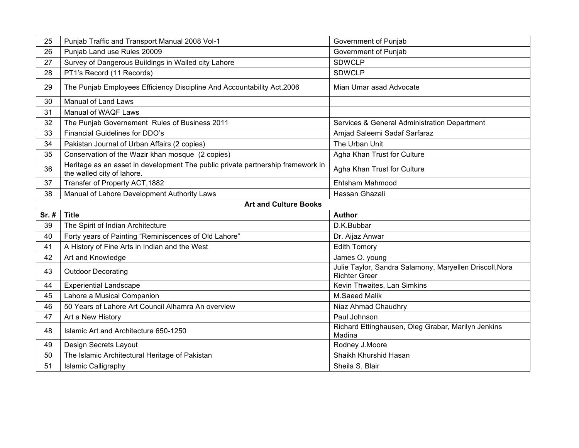| 25                           | Punjab Traffic and Transport Manual 2008 Vol-1                                                                | Government of Punjab                                                            |
|------------------------------|---------------------------------------------------------------------------------------------------------------|---------------------------------------------------------------------------------|
| 26                           | Punjab Land use Rules 20009                                                                                   | Government of Punjab                                                            |
| 27                           | Survey of Dangerous Buildings in Walled city Lahore                                                           | <b>SDWCLP</b>                                                                   |
| 28                           | PT1's Record (11 Records)                                                                                     | <b>SDWCLP</b>                                                                   |
| 29                           | The Punjab Employees Efficiency Discipline And Accountability Act, 2006                                       | Mian Umar asad Advocate                                                         |
| 30                           | <b>Manual of Land Laws</b>                                                                                    |                                                                                 |
| 31                           | Manual of WAQF Laws                                                                                           |                                                                                 |
| 32                           | The Punjab Governement Rules of Business 2011                                                                 | Services & General Administration Department                                    |
| 33                           | Financial Guidelines for DDO's                                                                                | Amjad Saleemi Sadaf Sarfaraz                                                    |
| 34                           | Pakistan Journal of Urban Affairs (2 copies)                                                                  | The Urban Unit                                                                  |
| 35                           | Conservation of the Wazir khan mosque (2 copies)                                                              | Agha Khan Trust for Culture                                                     |
| 36                           | Heritage as an asset in development The public private partnership framework in<br>the walled city of lahore. | Agha Khan Trust for Culture                                                     |
| 37                           | Transfer of Property ACT, 1882                                                                                | Ehtsham Mahmood                                                                 |
| 38                           | Manual of Lahore Development Authority Laws                                                                   | Hassan Ghazali                                                                  |
| <b>Art and Culture Books</b> |                                                                                                               |                                                                                 |
|                              |                                                                                                               |                                                                                 |
| Sr. #                        | <b>Title</b>                                                                                                  | Author                                                                          |
| 39                           | The Spirit of Indian Architecture                                                                             | D.K.Bubbar                                                                      |
| 40                           | Forty years of Painting "Reminiscences of Old Lahore"                                                         | Dr. Aijaz Anwar                                                                 |
| 41                           | A History of Fine Arts in Indian and the West                                                                 | <b>Edith Tomory</b>                                                             |
| 42                           | Art and Knowledge                                                                                             | James O. young                                                                  |
| 43                           | <b>Outdoor Decorating</b>                                                                                     | Julie Taylor, Sandra Salamony, Maryellen Driscoll, Nora<br><b>Richter Greer</b> |
| 44                           | <b>Experiential Landscape</b>                                                                                 | Kevin Thwaites, Lan Simkins                                                     |
| 45                           | Lahore a Musical Companion                                                                                    | M.Saeed Malik                                                                   |
| 46                           | 50 Years of Lahore Art Council Alhamra An overview                                                            | Niaz Ahmad Chaudhry                                                             |
| 47                           | Art a New History                                                                                             | Paul Johnson                                                                    |
| 48                           | Islamic Art and Architecture 650-1250                                                                         | Richard Ettinghausen, Oleg Grabar, Marilyn Jenkins<br>Madina                    |
| 49                           | Design Secrets Layout                                                                                         | Rodney J.Moore                                                                  |
| 50                           | The Islamic Architectural Heritage of Pakistan                                                                | Shaikh Khurshid Hasan                                                           |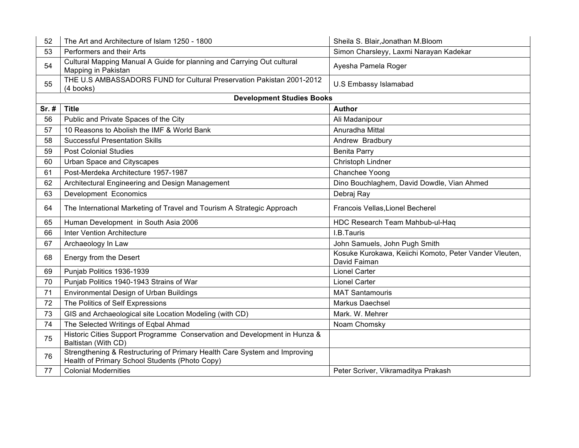| 52    | The Art and Architecture of Islam 1250 - 1800                                                                               | Sheila S. Blair, Jonathan M. Bloom                                     |
|-------|-----------------------------------------------------------------------------------------------------------------------------|------------------------------------------------------------------------|
| 53    | Performers and their Arts                                                                                                   | Simon Charsleyy, Laxmi Narayan Kadekar                                 |
| 54    | Cultural Mapping Manual A Guide for planning and Carrying Out cultural<br>Mapping in Pakistan                               | Ayesha Pamela Roger                                                    |
| 55    | THE U.S AMBASSADORS FUND for Cultural Preservation Pakistan 2001-2012<br>(4 books)                                          | <b>U.S Embassy Islamabad</b>                                           |
|       | <b>Development Studies Books</b>                                                                                            |                                                                        |
| Sr. # | <b>Title</b>                                                                                                                | <b>Author</b>                                                          |
| 56    | Public and Private Spaces of the City                                                                                       | Ali Madanipour                                                         |
| 57    | 10 Reasons to Abolish the IMF & World Bank                                                                                  | Anuradha Mittal                                                        |
| 58    | <b>Successful Presentation Skills</b>                                                                                       | Andrew Bradbury                                                        |
| 59    | <b>Post Colonial Studies</b>                                                                                                | <b>Benita Parry</b>                                                    |
| 60    | Urban Space and Cityscapes                                                                                                  | Christoph Lindner                                                      |
| 61    | Post-Merdeka Architecture 1957-1987                                                                                         | Chanchee Yoong                                                         |
| 62    | Architectural Engineering and Design Management                                                                             | Dino Bouchlaghem, David Dowdle, Vian Ahmed                             |
| 63    | Development Economics                                                                                                       | Debraj Ray                                                             |
| 64    | The International Marketing of Travel and Tourism A Strategic Approach                                                      | Francois Vellas, Lionel Becherel                                       |
| 65    | Human Development in South Asia 2006                                                                                        | HDC Research Team Mahbub-ul-Haq                                        |
| 66    | <b>Inter Vention Architecture</b>                                                                                           | I.B.Tauris                                                             |
| 67    | Archaeology In Law                                                                                                          | John Samuels, John Pugh Smith                                          |
| 68    | Energy from the Desert                                                                                                      | Kosuke Kurokawa, Keiichi Komoto, Peter Vander Vleuten,<br>David Faiman |
| 69    | Punjab Politics 1936-1939                                                                                                   | <b>Lionel Carter</b>                                                   |
| 70    | Punjab Politics 1940-1943 Strains of War                                                                                    | <b>Lionel Carter</b>                                                   |
| 71    | <b>Environmental Design of Urban Buildings</b>                                                                              | <b>MAT Santamouris</b>                                                 |
| 72    | The Politics of Self Expressions                                                                                            | Markus Daechsel                                                        |
| 73    | GIS and Archaeological site Location Modeling (with CD)                                                                     | Mark. W. Mehrer                                                        |
| 74    | The Selected Writings of Eqbal Ahmad                                                                                        | Noam Chomsky                                                           |
| 75    | Historic Cities Support Programme Conservation and Development in Hunza &<br>Baltistan (With CD)                            |                                                                        |
| 76    | Strengthening & Restructuring of Primary Health Care System and Improving<br>Health of Primary School Students (Photo Copy) |                                                                        |
| 77    | <b>Colonial Modernities</b>                                                                                                 | Peter Scriver, Vikramaditya Prakash                                    |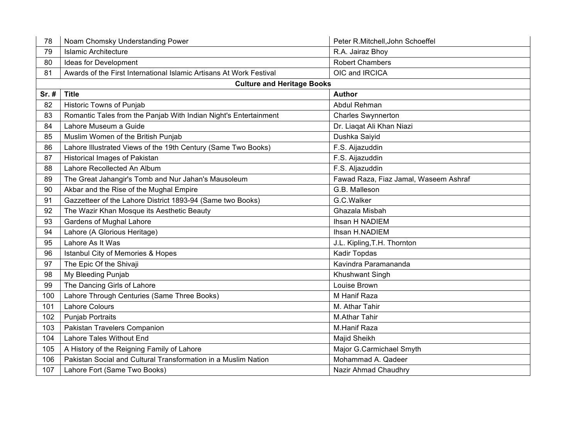| 78    | Noam Chomsky Understanding Power                                    | Peter R.Mitchell, John Schoeffel      |
|-------|---------------------------------------------------------------------|---------------------------------------|
| 79    | <b>Islamic Architecture</b>                                         | R.A. Jairaz Bhoy                      |
| 80    | Ideas for Development                                               | <b>Robert Chambers</b>                |
| 81    | Awards of the First International Islamic Artisans At Work Festival | OIC and IRCICA                        |
|       | <b>Culture and Heritage Books</b>                                   |                                       |
| Sr. # | <b>Title</b>                                                        | <b>Author</b>                         |
| 82    | Historic Towns of Punjab                                            | Abdul Rehman                          |
| 83    | Romantic Tales from the Panjab With Indian Night's Entertainment    | <b>Charles Swynnerton</b>             |
| 84    | Lahore Museum a Guide                                               | Dr. Liagat Ali Khan Niazi             |
| 85    | Muslim Women of the British Punjab                                  | Dushka Saiyid                         |
| 86    | Lahore Illustrated Views of the 19th Century (Same Two Books)       | F.S. Aijazuddin                       |
| 87    | <b>Historical Images of Pakistan</b>                                | F.S. Aijazuddin                       |
| 88    | Lahore Recollected An Album                                         | F.S. Aljazuddin                       |
| 89    | The Great Jahangir's Tomb and Nur Jahan's Mausoleum                 | Fawad Raza, Fiaz Jamal, Waseem Ashraf |
| 90    | Akbar and the Rise of the Mughal Empire                             | G.B. Malleson                         |
| 91    | Gazzetteer of the Lahore District 1893-94 (Same two Books)          | G.C.Walker                            |
| 92    | The Wazir Khan Mosque its Aesthetic Beauty                          | Ghazala Misbah                        |
| 93    | Gardens of Mughal Lahore                                            | Ihsan H NADIEM                        |
| 94    | Lahore (A Glorious Heritage)                                        | Ihsan H.NADIEM                        |
| 95    | Lahore As It Was                                                    | J.L. Kipling, T.H. Thornton           |
| 96    | Istanbul City of Memories & Hopes                                   | Kadir Topdas                          |
| 97    | The Epic Of the Shivaji                                             | Kavindra Paramananda                  |
| 98    | My Bleeding Punjab                                                  | Khushwant Singh                       |
| 99    | The Dancing Girls of Lahore                                         | Louise Brown                          |
| 100   | Lahore Through Centuries (Same Three Books)                         | M Hanif Raza                          |
| 101   | <b>Lahore Colours</b>                                               | M. Athar Tahir                        |
| 102   | <b>Punjab Portraits</b>                                             | <b>M.Athar Tahir</b>                  |
| 103   | Pakistan Travelers Companion                                        | M.Hanif Raza                          |
| 104   | Lahore Tales Without End                                            | Majid Sheikh                          |
| 105   | A History of the Reigning Family of Lahore                          | Major G.Carmichael Smyth              |
| 106   | Pakistan Social and Cultural Transformation in a Muslim Nation      | Mohammad A. Qadeer                    |
| 107   | Lahore Fort (Same Two Books)                                        | Nazir Ahmad Chaudhry                  |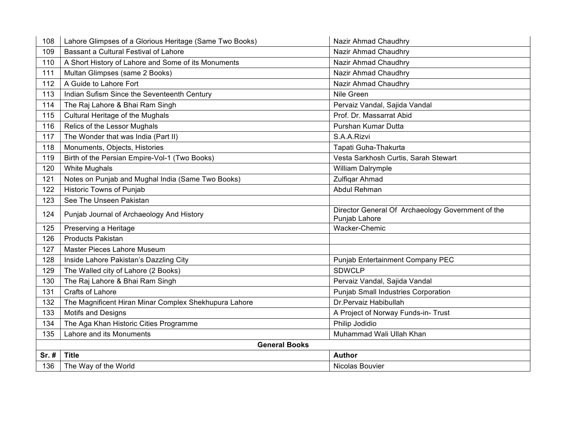| 108   | Lahore Glimpses of a Glorious Heritage (Same Two Books) | Nazir Ahmad Chaudhry                                               |  |
|-------|---------------------------------------------------------|--------------------------------------------------------------------|--|
| 109   | Bassant a Cultural Festival of Lahore                   | Nazir Ahmad Chaudhry                                               |  |
| 110   | A Short History of Lahore and Some of its Monuments     | Nazir Ahmad Chaudhry                                               |  |
| 111   | Multan Glimpses (same 2 Books)                          | Nazir Ahmad Chaudhry                                               |  |
| 112   | A Guide to Lahore Fort                                  | Nazir Ahmad Chaudhry                                               |  |
| 113   | Indian Sufism Since the Seventeenth Century             | Nile Green                                                         |  |
| 114   | The Raj Lahore & Bhai Ram Singh                         | Pervaiz Vandal, Sajida Vandal                                      |  |
| 115   | Cultural Heritage of the Mughals                        | Prof. Dr. Massarrat Abid                                           |  |
| 116   | Relics of the Lessor Mughals                            | Purshan Kumar Dutta                                                |  |
| 117   | The Wonder that was India (Part II)                     | S.A.A.Rizvi                                                        |  |
| 118   | Monuments, Objects, Histories                           | Tapati Guha-Thakurta                                               |  |
| 119   | Birth of the Persian Empire-Vol-1 (Two Books)           | Vesta Sarkhosh Curtis, Sarah Stewart                               |  |
| 120   | <b>White Mughals</b>                                    | William Dalrymple                                                  |  |
| 121   | Notes on Punjab and Mughal India (Same Two Books)       | Zulfiqar Ahmad                                                     |  |
| 122   | Historic Towns of Punjab                                | Abdul Rehman                                                       |  |
| 123   | See The Unseen Pakistan                                 |                                                                    |  |
| 124   | Punjab Journal of Archaeology And History               | Director General Of Archaeology Government of the<br>Punjab Lahore |  |
| 125   | Preserving a Heritage                                   | Wacker-Chemic                                                      |  |
| 126   | <b>Products Pakistan</b>                                |                                                                    |  |
| 127   | Master Pieces Lahore Museum                             |                                                                    |  |
| 128   | Inside Lahore Pakistan's Dazzling City                  | Punjab Entertainment Company PEC                                   |  |
| 129   | The Walled city of Lahore (2 Books)                     | <b>SDWCLP</b>                                                      |  |
| 130   | The Raj Lahore & Bhai Ram Singh                         | Pervaiz Vandal, Sajida Vandal                                      |  |
| 131   | <b>Crafts of Lahore</b>                                 | <b>Punjab Small Industries Corporation</b>                         |  |
| 132   | The Magnificent Hiran Minar Complex Shekhupura Lahore   | Dr.Pervaiz Habibullah                                              |  |
| 133   | <b>Motifs and Designs</b>                               | A Project of Norway Funds-in- Trust                                |  |
| 134   | The Aga Khan Historic Cities Programme                  | Philip Jodidio                                                     |  |
| 135   | Lahore and its Monuments                                | Muhammad Wali Ullah Khan                                           |  |
|       | <b>General Books</b>                                    |                                                                    |  |
| Sr. # | <b>Title</b>                                            | <b>Author</b>                                                      |  |
| 136   | The Way of the World                                    | Nicolas Bouvier                                                    |  |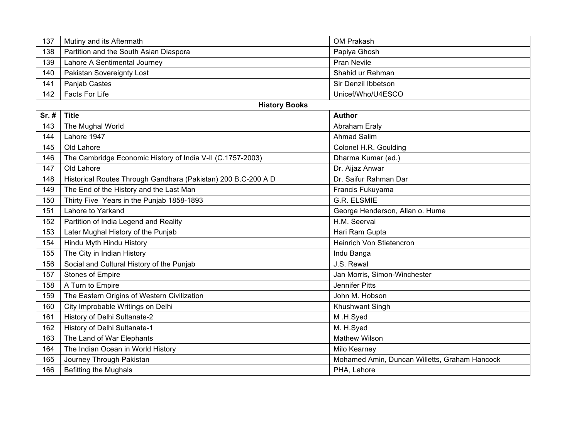| 137   | Mutiny and its Aftermath                                      | OM Prakash                                    |
|-------|---------------------------------------------------------------|-----------------------------------------------|
| 138   | Partition and the South Asian Diaspora                        | Papiya Ghosh                                  |
| 139   | Lahore A Sentimental Journey                                  | <b>Pran Nevile</b>                            |
| 140   | Pakistan Sovereignty Lost                                     | Shahid ur Rehman                              |
| 141   | Panjab Castes                                                 | Sir Denzil Ibbetson                           |
| 142   | Facts For Life                                                | Unicef/Who/U4ESCO                             |
|       | <b>History Books</b>                                          |                                               |
| Sr. # | <b>Title</b>                                                  | <b>Author</b>                                 |
| 143   | The Mughal World                                              | Abraham Eraly                                 |
| 144   | Lahore 1947                                                   | <b>Ahmad Salim</b>                            |
| 145   | Old Lahore                                                    | Colonel H.R. Goulding                         |
| 146   | The Cambridge Economic History of India V-II (C.1757-2003)    | Dharma Kumar (ed.)                            |
| 147   | Old Lahore                                                    | Dr. Aijaz Anwar                               |
| 148   | Historical Routes Through Gandhara (Pakistan) 200 B.C-200 A D | Dr. Saifur Rahman Dar                         |
| 149   | The End of the History and the Last Man                       | Francis Fukuyama                              |
| 150   | Thirty Five Years in the Punjab 1858-1893                     | <b>G.R. ELSMIE</b>                            |
| 151   | Lahore to Yarkand                                             | George Henderson, Allan o. Hume               |
| 152   | Partition of India Legend and Reality                         | H.M. Seervai                                  |
| 153   | Later Mughal History of the Punjab                            | Hari Ram Gupta                                |
| 154   | Hindu Myth Hindu History                                      | Heinrich Von Stietencron                      |
| 155   | The City in Indian History                                    | Indu Banga                                    |
| 156   | Social and Cultural History of the Punjab                     | J.S. Rewal                                    |
| 157   | <b>Stones of Empire</b>                                       | Jan Morris, Simon-Winchester                  |
| 158   | A Turn to Empire                                              | <b>Jennifer Pitts</b>                         |
| 159   | The Eastern Origins of Western Civilization                   | John M. Hobson                                |
| 160   | City Improbable Writings on Delhi                             | Khushwant Singh                               |
| 161   | History of Delhi Sultanate-2                                  | M.H.Syed                                      |
| 162   | History of Delhi Sultanate-1                                  | M. H.Syed                                     |
| 163   | The Land of War Elephants                                     | <b>Mathew Wilson</b>                          |
| 164   | The Indian Ocean in World History                             | Milo Kearney                                  |
| 165   | Journey Through Pakistan                                      | Mohamed Amin, Duncan Willetts, Graham Hancock |
| 166   | <b>Befitting the Mughals</b>                                  | PHA, Lahore                                   |